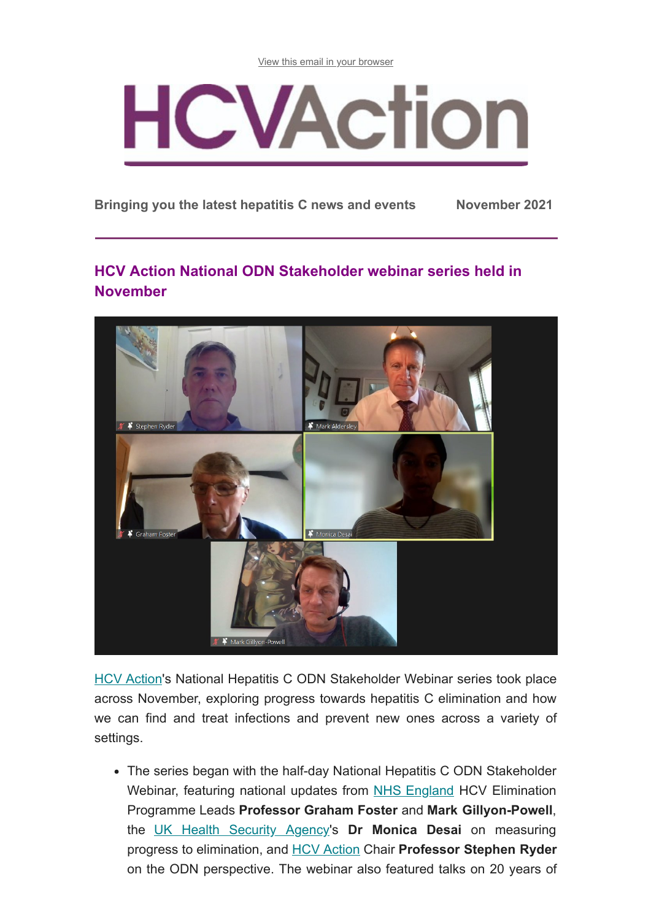[View this email in your browser](https://mailchi.mp/0fecb04acba3/hcv-action-e-update-may-8947722?e=[UNIQID])



**Bringing you the latest hepatitis C news and events November 2021**

# **HCV Action National ODN Stakeholder webinar series held in November**



[HCV Action](http://hcvaction.org.uk/)'s National Hepatitis C ODN Stakeholder Webinar series took place across November, exploring progress towards hepatitis C elimination and how we can find and treat infections and prevent new ones across a variety of settings.

The series began with the half-day National Hepatitis C ODN Stakeholder Webinar, featuring national updates from [NHS England](https://www.england.nhs.uk/) HCV Elimination Programme Leads **Professor Graham Foster** and **Mark Gillyon-Powell**, the [UK Health Security Agency](https://www.gov.uk/government/organisations/uk-health-security-agency)'s **Dr Monica Desai** on measuring progress to elimination, and [HCV Action](http://hcvaction.org.uk/) Chair **Professor Stephen Ryder** on the ODN perspective. The webinar also featured talks on 20 years of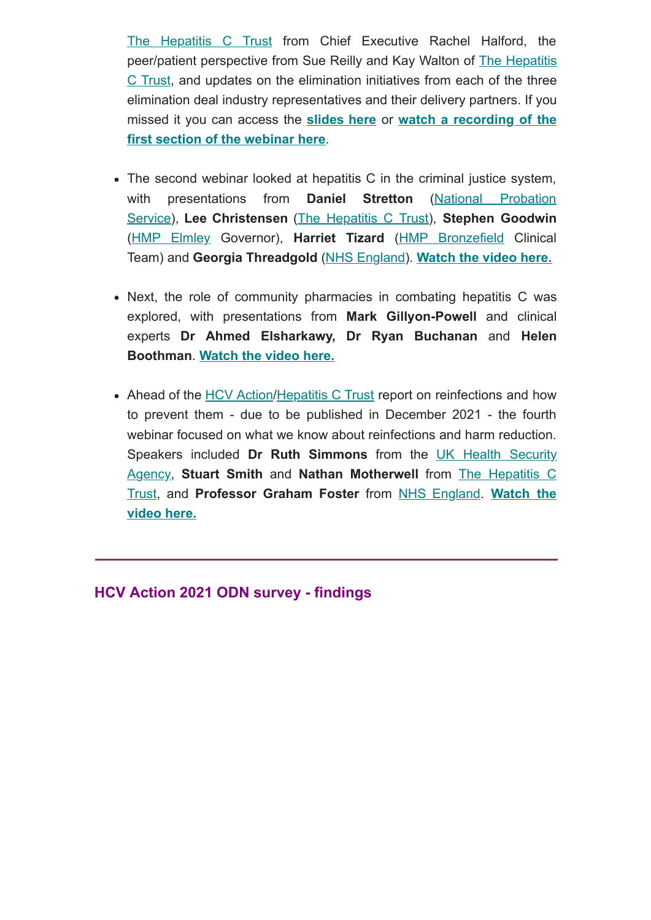[The Hepatitis C Trust](http://hepctrust.org.uk/) from Chief Executive Rachel Halford, the peer/patient perspective from Sue Reilly and Kay Walton of **The Hepatitis** C Trust, and updates on the elimination initiatives from each of the three elimination deal industry representatives and their delivery partners. If you missed it you can access the **[slides here](http://hcvaction.org.uk/resource/webinar-slides-hcv-action-national-hepatitis-c-odn-stakeholder-webinar-2021)** or **watch a recording of the [first section of the webinar here](https://www.youtube.com/watch?v=tkbvORjFtyg)**.

- The second webinar looked at hepatitis C in the criminal justice system, [with presentations from](https://www.gov.uk/government/organisations/probation-service) **Daniel Stretton** (National Probation Service), **Lee Christensen** [\(The Hepatitis C Trust](http://hepctrust.org.uk/)), **Stephen Goodwin** ([HMP Elmley](https://www.gov.uk/guidance/elmley-prison) Governor), **Harriet Tizard** [\(HMP Bronzefield](https://www.hmpbronzefield.co.uk/home.html) Clinical Team) and **Georgia Threadgold** ([NHS England](https://www.england.nhs.uk/)). **[Watch the video here.](https://www.youtube.com/watch?v=B-4kiuJ4kCk)**
- Next, the role of community pharmacies in combating hepatitis C was explored, with presentations from **Mark Gillyon-Powell** and clinical experts **Dr Ahmed Elsharkawy, Dr Ryan Buchanan** and **Helen Boothman**. **[Watch the video here.](https://www.youtube.com/watch?v=o5_AxP4lknY)**
- Ahead of the [HCV Action](http://hcvaction.org.uk/)[/Hepatitis C Trust](http://hepctrust.org.uk/) report on reinfections and how to prevent them - due to be published in December 2021 - the fourth webinar focused on what we know about reinfections and harm reduction. Speakers included **Dr Ruth Simmons** [from the UK Health Security](https://www.gov.uk/government/organisations/uk-health-security-agency) Agency, **Stuart Smith** and **Nathan Motherwell** from The Hepatitis C Trust, and **[Professor Graham Foster](https://www.youtube.com/watch?v=na6tH6IeQPs)** from [NHS England](https://www.england.nhs.uk/). **Watch the video here.**

**HCV Action 2021 ODN survey - findings**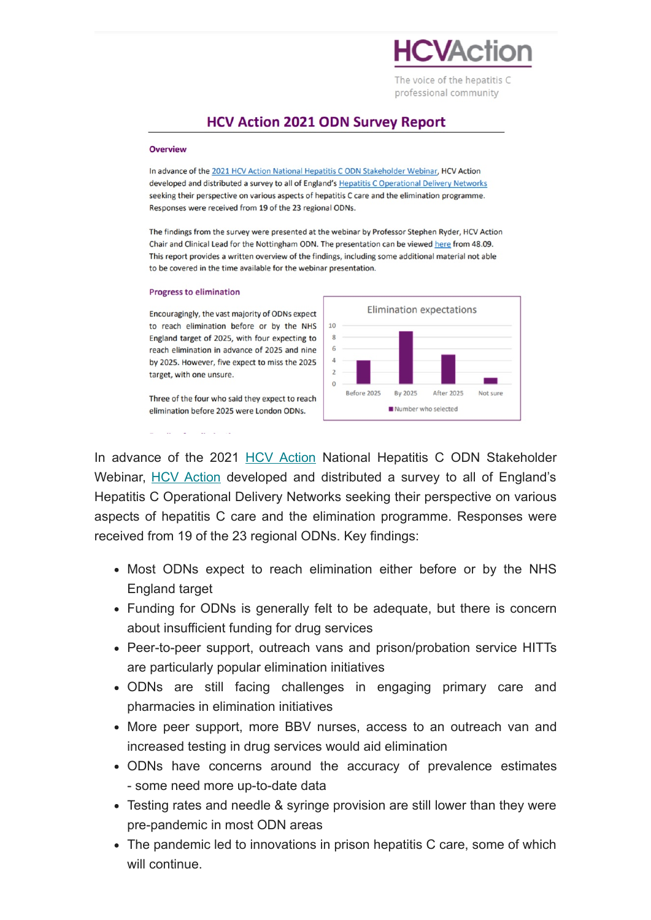

The voice of the hepatitis C professional community

## **HCV Action 2021 ODN Survey Report**

#### Overview

In advance of the 2021 HCV Action National Hepatitis C ODN Stakeholder Webinar, HCV Action developed and distributed a survey to all of England's Hepatitis C Operational Delivery Networks seeking their perspective on various aspects of hepatitis C care and the elimination programme. Responses were received from 19 of the 23 regional ODNs.

The findings from the survey were presented at the webinar by Professor Stephen Ryder, HCV Action Chair and Clinical Lead for the Nottingham ODN. The presentation can be viewed here from 48.09. This report provides a written overview of the findings, including some additional material not able to be covered in the time available for the webinar presentation.

#### **Progress to elimination**

Encouragingly, the vast majority of ODNs expect to reach elimination before or by the NHS England target of 2025, with four expecting to reach elimination in advance of 2025 and nine by 2025. However, five expect to miss the 2025 target, with one unsure.

Three of the four who said they expect to reach elimination before 2025 were London ODNs.



In advance of the 2021 [HCV Action](http://hcvaction.org.uk/) National Hepatitis C ODN Stakeholder Webinar, [HCV Action](http://hcvaction.org.uk/) developed and distributed a survey to all of England's Hepatitis C Operational Delivery Networks seeking their perspective on various aspects of hepatitis C care and the elimination programme. Responses were received from 19 of the 23 regional ODNs. Key findings:

- Most ODNs expect to reach elimination either before or by the NHS England target
- Funding for ODNs is generally felt to be adequate, but there is concern about insufficient funding for drug services
- Peer-to-peer support, outreach vans and prison/probation service HITTs are particularly popular elimination initiatives
- ODNs are still facing challenges in engaging primary care and pharmacies in elimination initiatives
- More peer support, more BBV nurses, access to an outreach van and increased testing in drug services would aid elimination
- ODNs have concerns around the accuracy of prevalence estimates - some need more up-to-date data
- Testing rates and needle & syringe provision are still lower than they were pre-pandemic in most ODN areas
- The pandemic led to innovations in prison hepatitis C care, some of which will continue.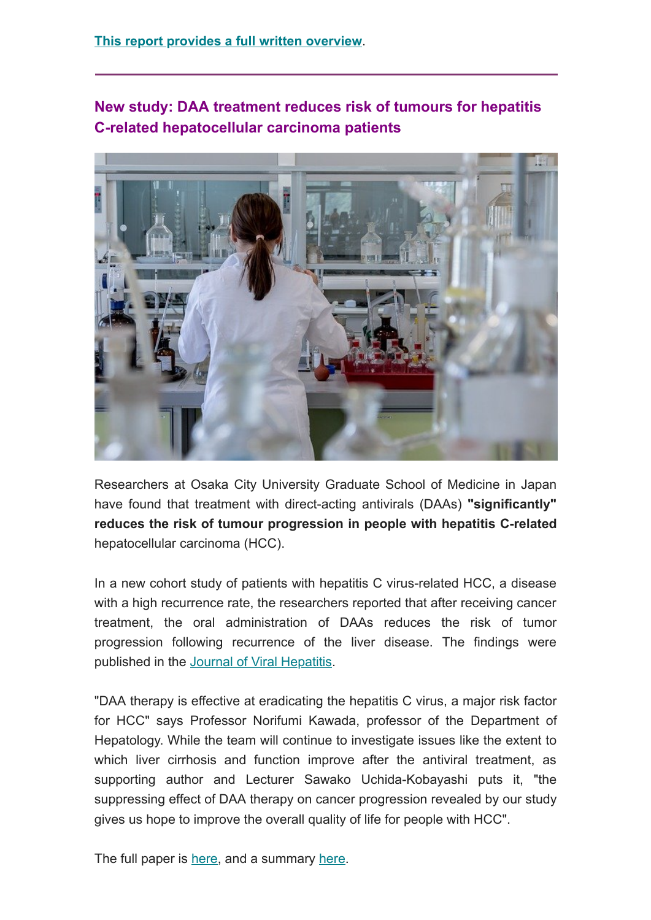## **New study: DAA treatment reduces risk of tumours for hepatitis C-related hepatocellular carcinoma patients**



Researchers at Osaka City University Graduate School of Medicine in Japan have found that treatment with direct-acting antivirals (DAAs) **"significantly" reduces the risk of tumour progression in people with hepatitis C-related** hepatocellular carcinoma (HCC).

In a new cohort study of patients with hepatitis C virus-related HCC, a disease with a high recurrence rate, the researchers reported that after receiving cancer treatment, the oral administration of DAAs reduces the risk of tumor progression following recurrence of the liver disease. The findings were published in the [Journal of Viral Hepatitis.](https://onlinelibrary.wiley.com/journal/13652893)

"DAA therapy is effective at eradicating the hepatitis C virus, a major risk factor for HCC" says Professor Norifumi Kawada, professor of the Department of Hepatology. While the team will continue to investigate issues like the extent to which liver cirrhosis and function improve after the antiviral treatment, as supporting author and Lecturer Sawako Uchida-Kobayashi puts it, "the suppressing effect of DAA therapy on cancer progression revealed by our study gives us hope to improve the overall quality of life for people with HCC".

The full paper is [here](https://onlinelibrary.wiley.com/doi/10.1111/jvh.13627), and a summary [here.](https://medicalxpress.com/news/2021-11-antiviral-treatment-hepatitis-virus-post-treatment.html)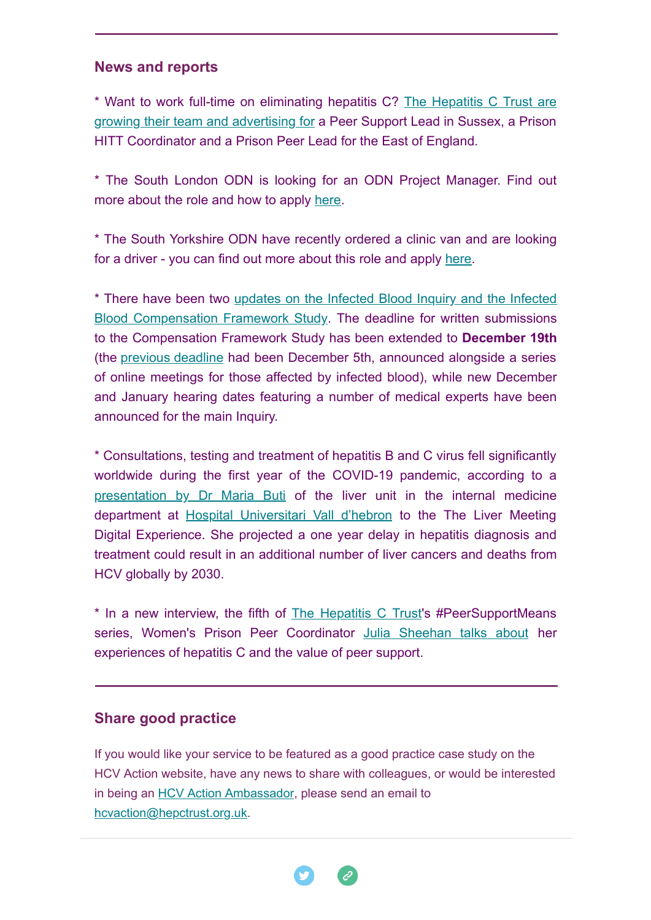### **News and reports**

[\\* Want to work full-time on eliminating hepatitis C? The Hepatitis C Trust are](http://hepctrust.org.uk/about-us/vacancies-hepatitis-c-trust) growing their team and advertising for a Peer Support Lead in Sussex, a Prison HITT Coordinator and a Prison Peer Lead for the East of England.

\* The South London ODN is looking for an ODN Project Manager. Find out more about the role and how to apply [here.](https://www.jobs.nhs.uk/xi/vacancy/916890745)

\* The South Yorkshire ODN have recently ordered a clinic van and are looking for a driver - you can find out more about this role and apply [here](https://beta.jobs.nhs.uk/candidate/jobadvert/C9190-21-0939).

\* There have been two [updates on the Infected Blood Inquiry and the Infected](http://www.hepctrust.org.uk/blog/nov-2021/infected-blood-inquiry-updates-deadline-extension-and-timetable-changes) Blood Compensation Framework Study. The deadline for written submissions to the Compensation Framework Study has been extended to **December 19th** (the [previous deadline](http://hepctrust.org.uk/blog/nov-2021/new-engagement-opportunities-announced-infected-blood-compensation-study) had been December 5th, announced alongside a series of online meetings for those affected by infected blood), while new December and January hearing dates featuring a number of medical experts have been announced for the main Inquiry.

\* Consultations, testing and treatment of hepatitis B and C virus fell significantly worldwide during the first year of the COVID-19 pandemic, according to a [presentation by Dr Maria Buti](https://www.healio.com/news/hepatology/20211114/covid-pandemic-put-hepatitis-elimination-efforts-further-behind) of the liver unit in the internal medicine department at [Hospital Universitari Vall d'hebron](https://www.vallhebron.com/en) to the The Liver Meeting Digital Experience. She projected a one year delay in hepatitis diagnosis and treatment could result in an additional number of liver cancers and deaths from HCV globally by 2030.

\* In a new interview, the fifth of [The Hepatitis C Trust](http://hepctrust.org.uk/)'s #PeerSupportMeans series, Women's Prison Peer Coordinator [Julia Sheehan talks about](http://hepctrust.org.uk/blog/oct-2021/it%E2%80%99s-about-look-relief-patient%E2%80%99s-face-peersupportmeans-julia-sheehan) her experiences of hepatitis C and the value of peer support.

### **Share good practice**

If you would like your service to be featured as a good practice case study on the HCV Action website, have any news to share with colleagues, or would be interested in being an [HCV Action Ambassador](http://hcvaction.org.uk/hcv-action-ambassador-network), please send an email to [hcvaction@hepctrust.org.uk](mailto:hcvaction@hepctrust.org.uk).